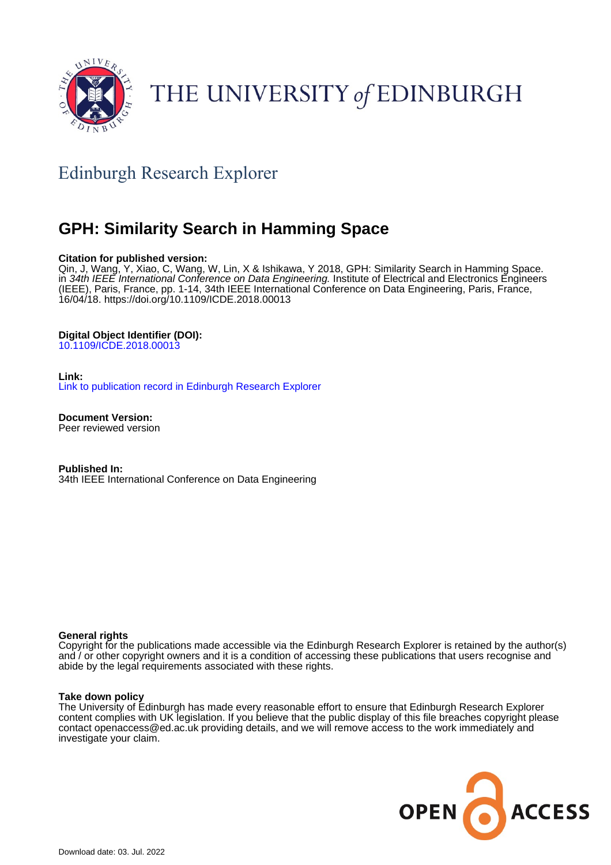

# THE UNIVERSITY of EDINBURGH

# Edinburgh Research Explorer

# **GPH: Similarity Search in Hamming Space**

### **Citation for published version:**

Qin, J, Wang, Y, Xiao, C, Wang, W, Lin, X & Ishikawa, Y 2018, GPH: Similarity Search in Hamming Space. in 34th IEEE International Conference on Data Engineering. Institute of Electrical and Electronics Engineers (IEEE), Paris, France, pp. 1-14, 34th IEEE International Conference on Data Engineering, Paris, France, 16/04/18.<https://doi.org/10.1109/ICDE.2018.00013>

## **Digital Object Identifier (DOI):**

[10.1109/ICDE.2018.00013](https://doi.org/10.1109/ICDE.2018.00013)

**Link:**

[Link to publication record in Edinburgh Research Explorer](https://www.research.ed.ac.uk/en/publications/0cf54d79-4a1c-407d-ac18-4fd5d2ee6b4f)

**Document Version:** Peer reviewed version

**Published In:** 34th IEEE International Conference on Data Engineering

### **General rights**

Copyright for the publications made accessible via the Edinburgh Research Explorer is retained by the author(s) and / or other copyright owners and it is a condition of accessing these publications that users recognise and abide by the legal requirements associated with these rights.

### **Take down policy**

The University of Edinburgh has made every reasonable effort to ensure that Edinburgh Research Explorer content complies with UK legislation. If you believe that the public display of this file breaches copyright please contact openaccess@ed.ac.uk providing details, and we will remove access to the work immediately and investigate your claim.

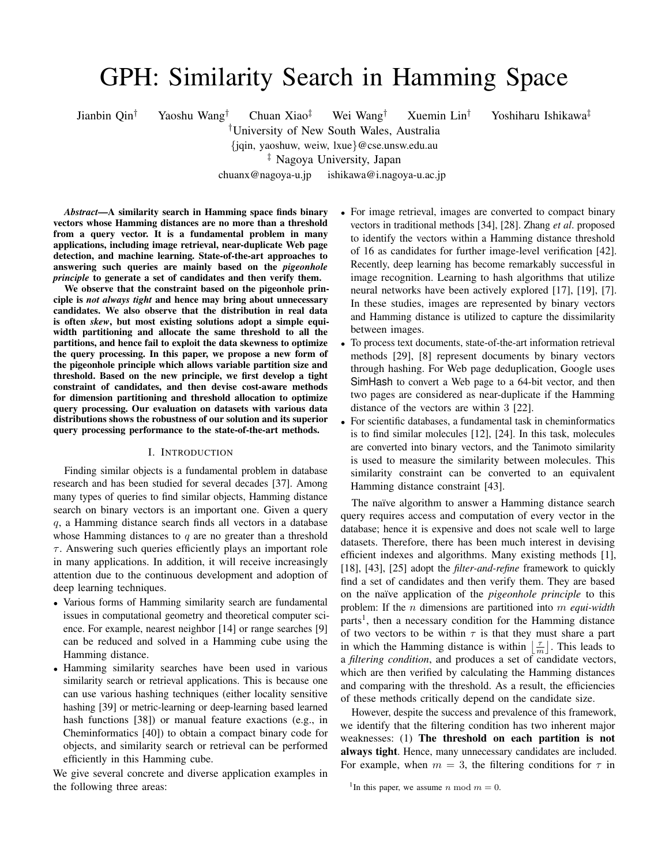# GPH: Similarity Search in Hamming Space

Jianbin Qin† Yaoshu Wang† Chuan Xiao‡ Wei Wang† Xuemin Lin† Yoshiharu Ishikawa‡

†University of New South Wales, Australia {jqin, yaoshuw, weiw, lxue}@cse.unsw.edu.au

‡ Nagoya University, Japan

chuanx@nagoya-u.jp ishikawa@i.nagoya-u.ac.jp

*Abstract*—A similarity search in Hamming space finds binary vectors whose Hamming distances are no more than a threshold from a query vector. It is a fundamental problem in many applications, including image retrieval, near-duplicate Web page detection, and machine learning. State-of-the-art approaches to answering such queries are mainly based on the *pigeonhole principle* to generate a set of candidates and then verify them.

We observe that the constraint based on the pigeonhole principle is *not always tight* and hence may bring about unnecessary candidates. We also observe that the distribution in real data is often *skew*, but most existing solutions adopt a simple equiwidth partitioning and allocate the same threshold to all the partitions, and hence fail to exploit the data skewness to optimize the query processing. In this paper, we propose a new form of the pigeonhole principle which allows variable partition size and threshold. Based on the new principle, we first develop a tight constraint of candidates, and then devise cost-aware methods for dimension partitioning and threshold allocation to optimize query processing. Our evaluation on datasets with various data distributions shows the robustness of our solution and its superior query processing performance to the state-of-the-art methods.

#### I. INTRODUCTION

Finding similar objects is a fundamental problem in database research and has been studied for several decades [37]. Among many types of queries to find similar objects, Hamming distance search on binary vectors is an important one. Given a query q, a Hamming distance search finds all vectors in a database whose Hamming distances to  $q$  are no greater than a threshold  $\tau$ . Answering such queries efficiently plays an important role in many applications. In addition, it will receive increasingly attention due to the continuous development and adoption of deep learning techniques.

- Various forms of Hamming similarity search are fundamental issues in computational geometry and theoretical computer science. For example, nearest neighbor [14] or range searches [9] can be reduced and solved in a Hamming cube using the Hamming distance.
- Hamming similarity searches have been used in various similarity search or retrieval applications. This is because one can use various hashing techniques (either locality sensitive hashing [39] or metric-learning or deep-learning based learned hash functions [38]) or manual feature exactions (e.g., in Cheminformatics [40]) to obtain a compact binary code for objects, and similarity search or retrieval can be performed efficiently in this Hamming cube.

We give several concrete and diverse application examples in the following three areas:

- For image retrieval, images are converted to compact binary vectors in traditional methods [34], [28]. Zhang *et al*. proposed to identify the vectors within a Hamming distance threshold of 16 as candidates for further image-level verification [42]. Recently, deep learning has become remarkably successful in image recognition. Learning to hash algorithms that utilize neural networks have been actively explored [17], [19], [7]. In these studies, images are represented by binary vectors and Hamming distance is utilized to capture the dissimilarity between images.
- To process text documents, state-of-the-art information retrieval methods [29], [8] represent documents by binary vectors through hashing. For Web page deduplication, Google uses SimHash to convert a Web page to a 64-bit vector, and then two pages are considered as near-duplicate if the Hamming distance of the vectors are within 3 [22].
- For scientific databases, a fundamental task in cheminformatics is to find similar molecules [12], [24]. In this task, molecules are converted into binary vectors, and the Tanimoto similarity is used to measure the similarity between molecules. This similarity constraint can be converted to an equivalent Hamming distance constraint [43].

The naïve algorithm to answer a Hamming distance search query requires access and computation of every vector in the database; hence it is expensive and does not scale well to large datasets. Therefore, there has been much interest in devising efficient indexes and algorithms. Many existing methods [1], [18], [43], [25] adopt the *filter-and-refine* framework to quickly find a set of candidates and then verify them. They are based on the naïve application of the *pigeonhole principle* to this problem: If the n dimensions are partitioned into m *equi-width* parts<sup>1</sup>, then a necessary condition for the Hamming distance of two vectors to be within  $\tau$  is that they must share a part in which the Hamming distance is within  $\left\lfloor \frac{\tau}{m} \right\rfloor$ . This leads to a *filtering condition*, and produces a set of candidate vectors, which are then verified by calculating the Hamming distances and comparing with the threshold. As a result, the efficiencies of these methods critically depend on the candidate size.

However, despite the success and prevalence of this framework, we identify that the filtering condition has two inherent major weaknesses: (1) The threshold on each partition is not always tight. Hence, many unnecessary candidates are included. For example, when  $m = 3$ , the filtering conditions for  $\tau$  in

<sup>&</sup>lt;sup>1</sup>In this paper, we assume *n* mod  $m = 0$ .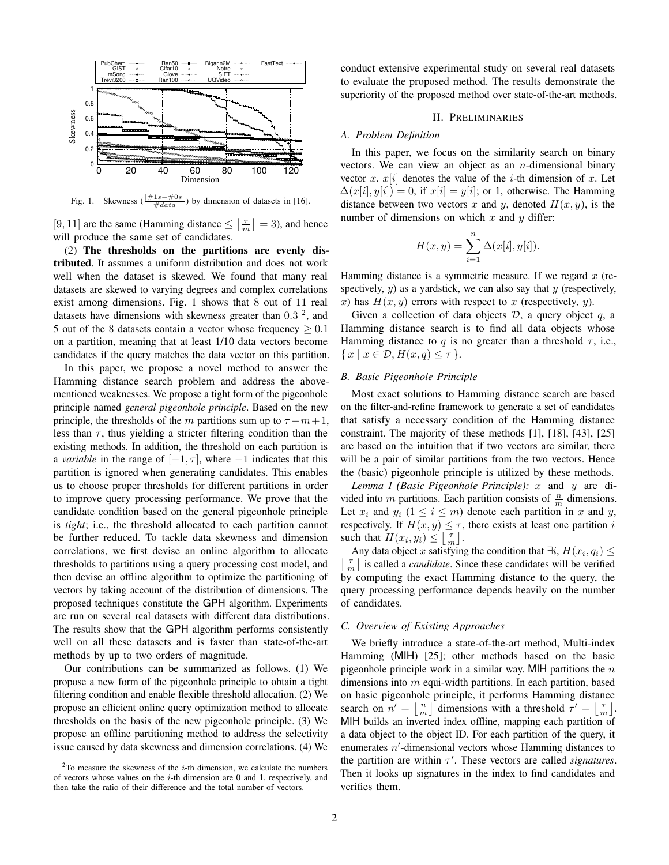

Fig. 1. Skewness  $(\frac{|\#1s-\#0s|}{\#data})$  by dimension of datasets in [16].

[9, 11] are the same (Hamming distance  $\leq \lfloor \frac{\tau}{m} \rfloor = 3$ ), and hence will produce the same set of candidates.

(2) The thresholds on the partitions are evenly distributed. It assumes a uniform distribution and does not work well when the dataset is skewed. We found that many real datasets are skewed to varying degrees and complex correlations exist among dimensions. Fig. 1 shows that 8 out of 11 real datasets have dimensions with skewness greater than  $0.3<sup>2</sup>$ , and 5 out of the 8 datasets contain a vector whose frequency  $\geq 0.1$ on a partition, meaning that at least 1/10 data vectors become candidates if the query matches the data vector on this partition.

In this paper, we propose a novel method to answer the Hamming distance search problem and address the abovementioned weaknesses. We propose a tight form of the pigeonhole principle named *general pigeonhole principle*. Based on the new principle, the thresholds of the m partitions sum up to  $\tau - m + 1$ , less than  $\tau$ , thus yielding a stricter filtering condition than the existing methods. In addition, the threshold on each partition is a *variable* in the range of  $[-1, \tau]$ , where  $-1$  indicates that this partition is ignored when generating candidates. This enables us to choose proper thresholds for different partitions in order to improve query processing performance. We prove that the candidate condition based on the general pigeonhole principle is *tight*; i.e., the threshold allocated to each partition cannot be further reduced. To tackle data skewness and dimension correlations, we first devise an online algorithm to allocate thresholds to partitions using a query processing cost model, and then devise an offline algorithm to optimize the partitioning of vectors by taking account of the distribution of dimensions. The proposed techniques constitute the GPH algorithm. Experiments are run on several real datasets with different data distributions. The results show that the GPH algorithm performs consistently well on all these datasets and is faster than state-of-the-art methods by up to two orders of magnitude.

Our contributions can be summarized as follows. (1) We propose a new form of the pigeonhole principle to obtain a tight filtering condition and enable flexible threshold allocation. (2) We propose an efficient online query optimization method to allocate thresholds on the basis of the new pigeonhole principle. (3) We propose an offline partitioning method to address the selectivity issue caused by data skewness and dimension correlations. (4) We

conduct extensive experimental study on several real datasets to evaluate the proposed method. The results demonstrate the superiority of the proposed method over state-of-the-art methods.

#### II. PRELIMINARIES

#### *A. Problem Definition*

In this paper, we focus on the similarity search on binary vectors. We can view an object as an  $n$ -dimensional binary vector x.  $x[i]$  denotes the value of the *i*-th dimension of x. Let  $\Delta(x[i], y[i]) = 0$ , if  $x[i] = y[i]$ ; or 1, otherwise. The Hamming distance between two vectors x and y, denoted  $H(x, y)$ , is the number of dimensions on which  $x$  and  $y$  differ:

$$
H(x, y) = \sum_{i=1}^{n} \Delta(x[i], y[i]).
$$

Hamming distance is a symmetric measure. If we regard  $x$  (respectively,  $y$ ) as a yardstick, we can also say that  $y$  (respectively, x) has  $H(x, y)$  errors with respect to x (respectively, y).

Given a collection of data objects  $D$ , a query object  $q$ , a Hamming distance search is to find all data objects whose Hamming distance to q is no greater than a threshold  $\tau$ , i.e.,  $\{x \mid x \in \mathcal{D}, H(x,q) \leq \tau\}.$ 

#### *B. Basic Pigeonhole Principle*

Most exact solutions to Hamming distance search are based on the filter-and-refine framework to generate a set of candidates that satisfy a necessary condition of the Hamming distance constraint. The majority of these methods [1], [18], [43], [25] are based on the intuition that if two vectors are similar, there will be a pair of similar partitions from the two vectors. Hence the (basic) pigeonhole principle is utilized by these methods.

*Lemma 1 (Basic Pigeonhole Principle):* x and y are divided into *m* partitions. Each partition consists of  $\frac{n}{m}$  dimensions. Let  $x_i$  and  $y_i$   $(1 \le i \le m)$  denote each partition in x and y, respectively. If  $H(x, y) \leq \tau$ , there exists at least one partition i such that  $H(x_i, y_i) \leq \left\lfloor \frac{\tau}{m} \right\rfloor$ .

Any data object x satisfying the condition that  $\exists i, H(x_i, q_i) \leq$  $\left\lfloor \frac{\tau}{m} \right\rfloor$  is called a *candidate*. Since these candidates will be verified by computing the exact Hamming distance to the query, the query processing performance depends heavily on the number of candidates.

#### *C. Overview of Existing Approaches*

We briefly introduce a state-of-the-art method, Multi-index Hamming (MIH) [25]; other methods based on the basic pigeonhole principle work in a similar way. MIH partitions the  $n$ dimensions into  $m$  equi-width partitions. In each partition, based on basic pigeonhole principle, it performs Hamming distance search on  $n' = \lfloor \frac{n}{m} \rfloor$  dimensions with a threshold  $\tau' = \lfloor \frac{\tau}{m} \rfloor$ . MIH builds an inverted index offline, mapping each partition of a data object to the object ID. For each partition of the query, it enumerates  $n'$ -dimensional vectors whose Hamming distances to the partition are within  $\tau'$ . These vectors are called *signatures*. Then it looks up signatures in the index to find candidates and verifies them.

 $2$ To measure the skewness of the *i*-th dimension, we calculate the numbers of vectors whose values on the  $i$ -th dimension are 0 and 1, respectively, and then take the ratio of their difference and the total number of vectors.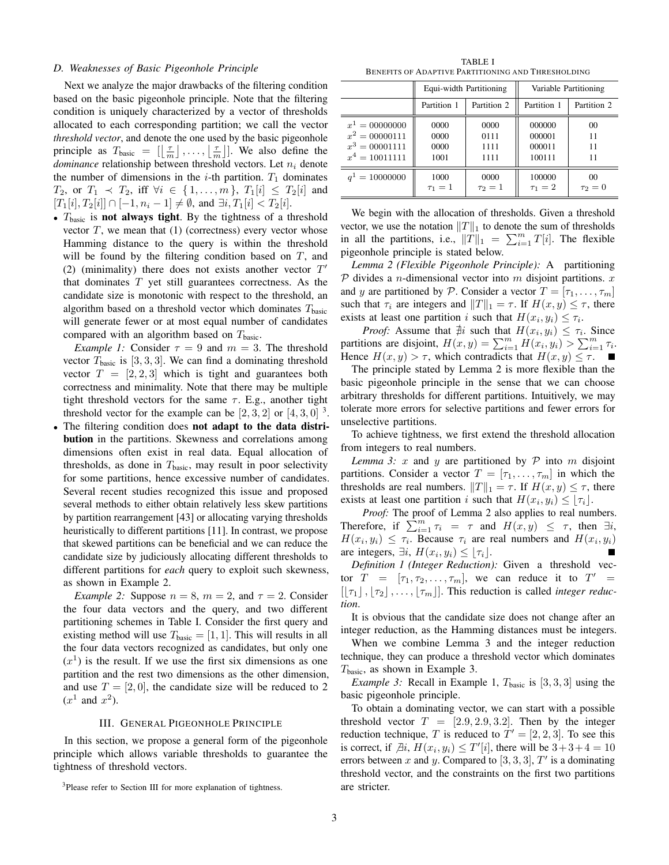#### *D. Weaknesses of Basic Pigeonhole Principle*

Next we analyze the major drawbacks of the filtering condition based on the basic pigeonhole principle. Note that the filtering condition is uniquely characterized by a vector of thresholds allocated to each corresponding partition; we call the vector *threshold vector*, and denote the one used by the basic pigeonhole principle as  $T_{\text{basic}} = [\lfloor \frac{\tau}{m} \rfloor, \ldots, \lfloor \frac{\tau}{m} \rfloor].$  We also define the *dominance* relationship between threshold vectors. Let  $n_i$  denote the number of dimensions in the *i*-th partition.  $T_1$  dominates  $T_2$ , or  $T_1 \prec T_2$ , iff  $\forall i \in \{1, ..., m\}$ ,  $T_1[i] \leq T_2[i]$  and  $[T_1[i], T_2[i]] \cap [-1, n_i - 1] \neq \emptyset$ , and  $\exists i, T_1[i] < T_2[i]$ .

•  $T_{\text{basic}}$  is **not always tight**. By the tightness of a threshold vector  $T$ , we mean that  $(1)$  (correctness) every vector whose Hamming distance to the query is within the threshold will be found by the filtering condition based on  $T$ , and (2) (minimality) there does not exists another vector  $T'$ that dominates  $T$  yet still guarantees correctness. As the candidate size is monotonic with respect to the threshold, an algorithm based on a threshold vector which dominates  $T_{\text{basic}}$ will generate fewer or at most equal number of candidates compared with an algorithm based on  $T_{\text{basic}}$ .

*Example 1:* Consider  $\tau = 9$  and  $m = 3$ . The threshold vector  $T_{\text{basic}}$  is [3, 3, 3]. We can find a dominating threshold vector  $T = [2, 2, 3]$  which is tight and guarantees both correctness and minimality. Note that there may be multiple tight threshold vectors for the same  $\tau$ . E.g., another tight threshold vector for the example can be  $[2,3,2]$  or  $[4,3,0]$  <sup>3</sup>.

The filtering condition does not adapt to the data distribution in the partitions. Skewness and correlations among dimensions often exist in real data. Equal allocation of thresholds, as done in  $T_{\text{basic}}$ , may result in poor selectivity for some partitions, hence excessive number of candidates. Several recent studies recognized this issue and proposed several methods to either obtain relatively less skew partitions by partition rearrangement [43] or allocating varying thresholds heuristically to different partitions [11]. In contrast, we propose that skewed partitions can be beneficial and we can reduce the candidate size by judiciously allocating different thresholds to different partitions for *each* query to exploit such skewness, as shown in Example 2.

*Example 2:* Suppose  $n = 8$ ,  $m = 2$ , and  $\tau = 2$ . Consider the four data vectors and the query, and two different partitioning schemes in Table I. Consider the first query and existing method will use  $T_{\text{basic}} = [1, 1]$ . This will results in all the four data vectors recognized as candidates, but only one  $(x<sup>1</sup>)$  is the result. If we use the first six dimensions as one partition and the rest two dimensions as the other dimension, and use  $T = [2, 0]$ , the candidate size will be reduced to 2  $(x^1 \text{ and } x^2)$ .

#### III. GENERAL PIGEONHOLE PRINCIPLE

In this section, we propose a general form of the pigeonhole principle which allows variable thresholds to guarantee the tightness of threshold vectors.

TABLE I BENEFITS OF ADAPTIVE PARTITIONING AND THRESHOLDING

|                  | Equi-width Partitioning    |            | Variable Partitioning |                |
|------------------|----------------------------|------------|-----------------------|----------------|
|                  | Partition 1<br>Partition 2 |            | Partition 1           | Partition 2    |
| $x^1 = 00000000$ | 0000                       | 0000       | 000000                | 0 <sup>0</sup> |
| $x^2 = 00000111$ | 0000                       | 0111       | 000001                | 11             |
| $x^3 = 00001111$ | 0000                       | 1111       | 000011                | 11             |
| $x^4 = 10011111$ | 1001                       | 1111       | 100111                | 11             |
| $q^1 = 10000000$ | 1000                       | 0000       | 100000                | 0 <sup>0</sup> |
|                  | $\tau_1=1$                 | $\tau_2=1$ | $\tau_1 = 2$          | $\tau_2=0$     |

We begin with the allocation of thresholds. Given a threshold vector, we use the notation  $||T||_1$  to denote the sum of thresholds in all the partitions, i.e.,  $||T||_1 = \sum_{i=1}^m T[i]$ . The flexible pigeonhole principle is stated below.

*Lemma 2 (Flexible Pigeonhole Principle):* A partitioning  $P$  divides a *n*-dimensional vector into *m* disjoint partitions.  $x$ and y are partitioned by P. Consider a vector  $T = [\tau_1, \ldots, \tau_m]$ such that  $\tau_i$  are integers and  $||T||_1 = \tau$ . If  $H(x, y) \leq \tau$ , there exists at least one partition i such that  $H(x_i, y_i) \leq \tau_i$ .

*Proof:* Assume that  $\sharp i$  such that  $H(x_i, y_i) \leq \tau_i$ . Since partitions are disjoint,  $H(x, y) = \sum_{i=1}^{m} H(x_i, y_i) > \sum_{i=1}^{m} \tau_i$ . Hence  $H(x, y) > \tau$ , which contradicts that  $H(x, y) \leq \tau$ .

The principle stated by Lemma 2 is more flexible than the basic pigeonhole principle in the sense that we can choose arbitrary thresholds for different partitions. Intuitively, we may tolerate more errors for selective partitions and fewer errors for unselective partitions.

To achieve tightness, we first extend the threshold allocation from integers to real numbers.

*Lemma 3:* x and y are partitioned by  $P$  into m disjoint partitions. Consider a vector  $T = [\tau_1, \ldots, \tau_m]$  in which the thresholds are real numbers.  $||T||_1 = \tau$ . If  $H(x, y) \leq \tau$ , there exists at least one partition i such that  $H(x_i, y_i) \leq \lfloor \tau_i \rfloor$ .

*Proof:* The proof of Lemma 2 also applies to real numbers. Therefore, if  $\sum_{i=1}^{m} \tau_i = \tau$  and  $H(x, y) \leq \tau$ , then  $\exists i$ ,  $H(x_i, y_i) \leq \tau_i$ . Because  $\tau_i$  are real numbers and  $H(x_i, y_i)$ are integers,  $\exists i$ ,  $H(x_i, y_i) \leq \lfloor \tau_i \rfloor$ .

*Definition 1 (Integer Reduction):* Given a threshold vector  $T = [\tau_1, \tau_2, \dots, \tau_m]$ , we can reduce it to  $T' =$  $[[\tau_1], [\tau_2], \ldots, [\tau_m]]$ . This reduction is called *integer reduction*.

It is obvious that the candidate size does not change after an integer reduction, as the Hamming distances must be integers.

When we combine Lemma 3 and the integer reduction technique, they can produce a threshold vector which dominates  $T_{\text{basic}}$ , as shown in Example 3.

*Example 3:* Recall in Example 1,  $T_{\text{basic}}$  is [3, 3, 3] using the basic pigeonhole principle.

To obtain a dominating vector, we can start with a possible threshold vector  $T = [2.9, 2.9, 3.2]$ . Then by the integer reduction technique, T is reduced to  $T' = [2, 2, 3]$ . To see this is correct, if  $\exists i$ ,  $H(x_i, y_i) \leq T'[i]$ , there will be  $3+3+4=10$ errors between x and y. Compared to  $[3, 3, 3]$ ,  $T'$  is a dominating threshold vector, and the constraints on the first two partitions are stricter.

<sup>&</sup>lt;sup>3</sup>Please refer to Section III for more explanation of tightness.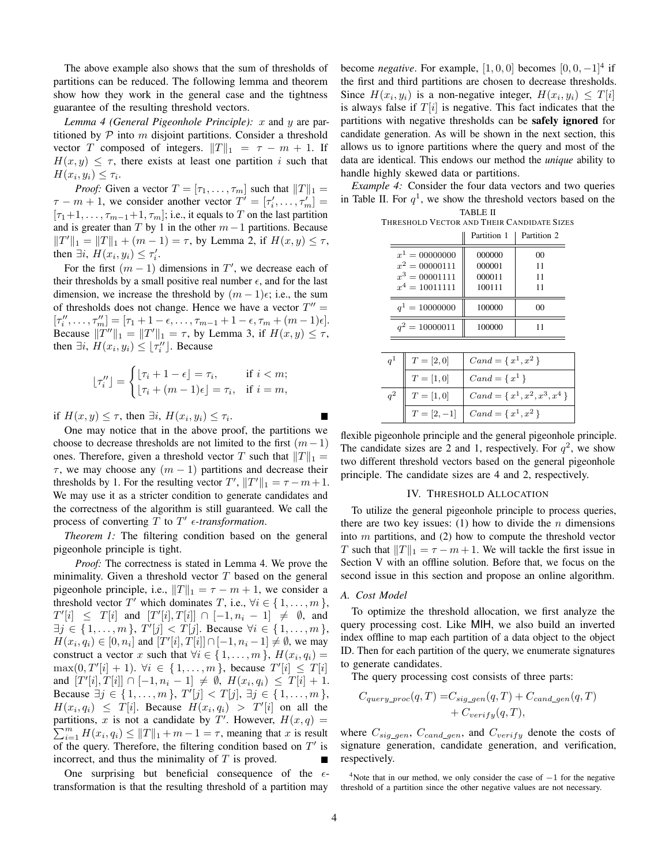The above example also shows that the sum of thresholds of partitions can be reduced. The following lemma and theorem show how they work in the general case and the tightness guarantee of the resulting threshold vectors.

*Lemma 4 (General Pigeonhole Principle):* x and y are partitioned by  $P$  into m disjoint partitions. Consider a threshold vector T composed of integers.  $||T||_1 = \tau - m + 1$ . If  $H(x, y) \leq \tau$ , there exists at least one partition i such that  $H(x_i, y_i) \leq \tau_i.$ 

*Proof:* Given a vector  $T = [\tau_1, \ldots, \tau_m]$  such that  $||T||_1 =$  $\tau - m + 1$ , we consider another vector  $T' = [\tau'_i, \dots, \tau'_m] =$  $[\tau_1+1,\ldots,\tau_{m-1}+1,\tau_m]$ ; i.e., it equals to T on the last partition and is greater than T by 1 in the other  $m-1$  partitions. Because  $||T'||_1 = ||T||_1 + (m - 1) = \tau$ , by Lemma 2, if  $H(x, y) \leq \tau$ , then  $\exists i$ ,  $H(x_i, y_i) \leq \tau'_i$ .

For the first  $(m - 1)$  dimensions in T', we decrease each of their thresholds by a small positive real number  $\epsilon$ , and for the last dimension, we increase the threshold by  $(m - 1)\epsilon$ ; i.e., the sum of thresholds does not change. Hence we have a vector  $T'' =$  $[\tau''_i, \ldots, \tau''_m] = [\tau_1 + 1 - \epsilon, \ldots, \tau_{m-1} + 1 - \epsilon, \tau_m + (m-1)\epsilon].$ Because  $||T''||_1 = ||T'||_1 = \tau$ , by Lemma 3, if  $H(x, y) \leq \tau$ , then  $\exists i$ ,  $H(x_i, y_i) \leq \lfloor \tau''_i \rfloor$ . Because

$$
\lfloor \tau''_i \rfloor = \begin{cases} \lfloor \tau_i + 1 - \epsilon \rfloor = \tau_i, & \text{if } i < m; \\ \lfloor \tau_i + (m - 1)\epsilon \rfloor = \tau_i, & \text{if } i = m, \end{cases}
$$

if  $H(x, y) \leq \tau$ , then  $\exists i$ ,  $H(x_i, y_i) \leq \tau_i$ .

One may notice that in the above proof, the partitions we choose to decrease thresholds are not limited to the first  $(m-1)$ ones. Therefore, given a threshold vector T such that  $||T||_1 =$  $\tau$ , we may choose any  $(m - 1)$  partitions and decrease their thresholds by 1. For the resulting vector  $T', ||T'||_1 = \tau - m + 1$ . We may use it as a stricter condition to generate candidates and the correctness of the algorithm is still guaranteed. We call the process of converting  $T$  to  $T'$   $\epsilon$ -transformation.

*Theorem 1:* The filtering condition based on the general pigeonhole principle is tight.

*Proof:* The correctness is stated in Lemma 4. We prove the minimality. Given a threshold vector  $T$  based on the general pigeonhole principle, i.e.,  $||T||_1 = \tau - m + 1$ , we consider a threshold vector T' which dominates T, i.e.,  $\forall i \in \{1, \ldots, m\}$ ,  $T'[i] \leq T[i]$  and  $[T'[i], T[i]] \cap [-1, n_i - 1] \neq \emptyset$ , and  $\exists j \in \{1, ..., m\}, T'[j] < T[j]$ . Because  $\forall i \in \{1, ..., m\},$  $H(x_i, q_i) \in [0, n_i]$  and  $[T'[i], T[i]] \cap [-1, n_i - 1] \neq \emptyset$ , we may construct a vector x such that  $\forall i \in \{1, ..., m\}$ ,  $H(x_i, q_i) =$  $\max(0, T'[i] + 1)$ .  $\forall i \in \{1, ..., m\}$ , because  $T'[i] \leq T[i]$ and  $[T'[i], T[i]] \cap [-1, n_i - 1] \neq \emptyset$ ,  $H(x_i, q_i) \leq T[i] + 1$ . Because  $\exists j \in \{1, ..., m\}, T'[j] < T[j], \exists j \in \{1, ..., m\},$  $H(x_i, q_i) \leq T[i]$ . Because  $H(x_i, q_i) > T'[i]$  on all the partitions, x is not a candidate by T'. However,  $H(x,q) =$  $\sum_{i=1}^{m} H(x_i, q_i) \le ||T||_1 + m - 1 = \tau$ , meaning that x is result of the query. Therefore, the filtering condition based on  $T'$  is incorrect, and thus the minimality of  $T$  is proved. Ē

One surprising but beneficial consequence of the  $\epsilon$ transformation is that the resulting threshold of a partition may

become *negative*. For example,  $[1, 0, 0]$  becomes  $[0, 0, -1]^4$  if the first and third partitions are chosen to decrease thresholds. Since  $H(x_i, y_i)$  is a non-negative integer,  $H(x_i, y_i) \leq T[i]$ is always false if  $T[i]$  is negative. This fact indicates that the partitions with negative thresholds can be safely ignored for candidate generation. As will be shown in the next section, this allows us to ignore partitions where the query and most of the data are identical. This endows our method the *unique* ability to handle highly skewed data or partitions.

*Example 4:* Consider the four data vectors and two queries in Table II. For  $q<sup>1</sup>$ , we show the threshold vectors based on the TABLE II

| . |  |                                            |  |  |  |  |
|---|--|--------------------------------------------|--|--|--|--|
|   |  | THRESHOLD VECTOR AND THEIR CANDIDATE SIZES |  |  |  |  |

|                                      | Partition 1      | Partition 2 |
|--------------------------------------|------------------|-------------|
| $x^1 = 00000000$                     | 000000           | 00          |
| $x^2 = 00000111$<br>$x^3 = 00001111$ | 000001<br>000011 | 11<br>11    |
| $x^4 = 10011111$                     | 100111           | 11          |
| $q^1 = 10000000$                     | 100000           | $^{00}$     |
| $q^2 = 10000011$                     | 100000           |             |

| $q^1$ | $T=[2,0]$    | $\left[$ Cand = { $x^1, x^2$ }          |
|-------|--------------|-----------------------------------------|
|       | $T = [1, 0]$ | $Cand = \{x^1\}$                        |
|       | $T=[1,0]$    | $\big $ Cand = { $x^1, x^2, x^3, x^4$ } |
|       | $T=[2,-1]$   | $\big $ Cand = { $x^1, x^2$ }           |

flexible pigeonhole principle and the general pigeonhole principle. The candidate sizes are 2 and 1, respectively. For  $q^2$ , we show two different threshold vectors based on the general pigeonhole principle. The candidate sizes are 4 and 2, respectively.

#### IV. THRESHOLD ALLOCATION

To utilize the general pigeonhole principle to process queries, there are two key issues: (1) how to divide the  $n$  dimensions into  $m$  partitions, and (2) how to compute the threshold vector T such that  $||T||_1 = \tau - m + 1$ . We will tackle the first issue in Section V with an offline solution. Before that, we focus on the second issue in this section and propose an online algorithm.

#### *A. Cost Model*

To optimize the threshold allocation, we first analyze the query processing cost. Like MIH, we also build an inverted index offline to map each partition of a data object to the object ID. Then for each partition of the query, we enumerate signatures to generate candidates.

The query processing cost consists of three parts:

$$
C_{query\_proc}(q, T) = C_{sig\_gen}(q, T) + C_{cand\_gen}(q, T) + C_{verify}(q, T),
$$

where  $C_{sig\_gen}$ ,  $C_{cand\_gen}$ , and  $C_{verify}$  denote the costs of signature generation, candidate generation, and verification, respectively.

<sup>4</sup>Note that in our method, we only consider the case of  $-1$  for the negative threshold of a partition since the other negative values are not necessary.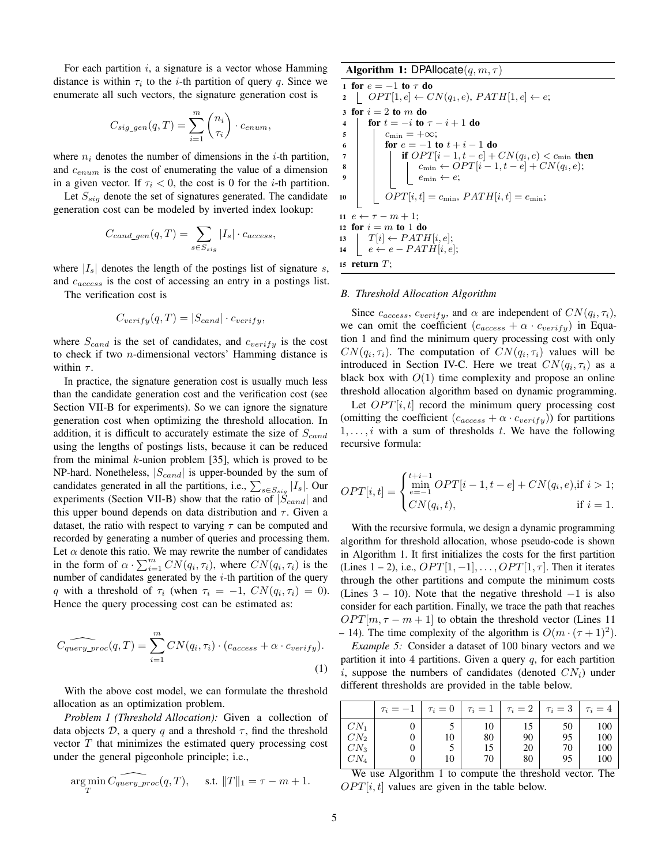For each partition  $i$ , a signature is a vector whose Hamming distance is within  $\tau_i$  to the *i*-th partition of query q. Since we enumerate all such vectors, the signature generation cost is

$$
C_{sig\_gen}(q,T) = \sum_{i=1}^{m} {n_i \choose \tau_i} \cdot c_{enum},
$$

where  $n_i$  denotes the number of dimensions in the *i*-th partition, and  $c_{enum}$  is the cost of enumerating the value of a dimension in a given vector. If  $\tau_i < 0$ , the cost is 0 for the *i*-th partition.

Let  $S_{sig}$  denote the set of signatures generated. The candidate generation cost can be modeled by inverted index lookup:

$$
C_{cand\_gen}(q,T) = \sum_{s \in S_{sig}} |I_s| \cdot c_{access},
$$

where  $|I_s|$  denotes the length of the postings list of signature s, and  $c_{access}$  is the cost of accessing an entry in a postings list.

The verification cost is

$$
C_{verify}(q, T) = |S_{cand}| \cdot c_{verify},
$$

where  $S_{cand}$  is the set of candidates, and  $c_{verify}$  is the cost to check if two n-dimensional vectors' Hamming distance is within  $\tau$ .

In practice, the signature generation cost is usually much less than the candidate generation cost and the verification cost (see Section VII-B for experiments). So we can ignore the signature generation cost when optimizing the threshold allocation. In addition, it is difficult to accurately estimate the size of  $S_{cand}$ using the lengths of postings lists, because it can be reduced from the minimal  $k$ -union problem [35], which is proved to be NP-hard. Nonetheless,  $|S_{cand}|$  is upper-bounded by the sum of candidates generated in all the partitions, i.e.,  $\sum_{s \in S_{sig}} |I_s|$ . Our experiments (Section VII-B) show that the ratio of  $|\check{S}_{cand}|$  and this upper bound depends on data distribution and  $\tau$ . Given a dataset, the ratio with respect to varying  $\tau$  can be computed and recorded by generating a number of queries and processing them. Let  $\alpha$  denote this ratio. We may rewrite the number of candidates in the form of  $\alpha \cdot \sum_{i=1}^{m} CN(q_i, \tau_i)$ , where  $CN(q_i, \tau_i)$  is the number of candidates generated by the  $i$ -th partition of the query q with a threshold of  $\tau_i$  (when  $\tau_i = -1$ ,  $CN(q_i, \tau_i) = 0$ ). Hence the query processing cost can be estimated as:

$$
\widehat{C_{query\_proc}(q, T)} = \sum_{i=1}^{m} CN(q_i, \tau_i) \cdot (c_{access} + \alpha \cdot c_{verify}).
$$
\n(1)

With the above cost model, we can formulate the threshold allocation as an optimization problem.

*Problem 1 (Threshold Allocation):* Given a collection of data objects  $\mathcal{D}$ , a query q and a threshold  $\tau$ , find the threshold vector  $T$  that minimizes the estimated query processing cost under the general pigeonhole principle; i.e.,

$$
\argmin_{T} C_{query\_proc}(q, T), \quad \text{s.t. } ||T||_1 = \tau - m + 1.
$$

Algorithm 1: DPAllocate $(q, m, \tau)$ 

```
1 for e = -1 to \tau do
2 \left[ OPT[1, e] \leftarrow CN(q_1, e), PATH[1, e] \leftarrow e;3 for i = 2 to m do
4 for t = -i to \tau - i + 1 do
5 \mid c_{\min} = +\infty;6 for e = -1 to t + i - 1 do
 7 if OPT[i-1, t-e] + CN(q_i, e) < c_{\min} then
 8 \vert \vert \vert \vert c_{\min} \leftarrow OPT[i-1, t-e] + CN(q_i, e);e_{\min} \leftarrow e;10 \left\vert \quad \right\rangle OPT[i, t] = c_{\min}, \, PATH[i, t] = e_{\min};11 e \leftarrow \tau - m + 1;
12 for i = m to 1 do
13 \mid T[i] \leftarrow PATH[i, e];14 e \leftarrow e - PATH[i, e];15 return T;
```
#### *B. Threshold Allocation Algorithm*

Since  $c_{access}$ ,  $c_{verify}$ , and  $\alpha$  are independent of  $CN(q_i, \tau_i)$ , we can omit the coefficient  $(c_{access} + \alpha \cdot c_{verify})$  in Equation 1 and find the minimum query processing cost with only  $CN(q_i, \tau_i)$ . The computation of  $CN(q_i, \tau_i)$  values will be introduced in Section IV-C. Here we treat  $CN(q_i, \tau_i)$  as a black box with  $O(1)$  time complexity and propose an online threshold allocation algorithm based on dynamic programming.

Let  $OPT[i, t]$  record the minimum query processing cost (omitting the coefficient  $(c_{access} + \alpha \cdot c_{verify})$ ) for partitions  $1, \ldots, i$  with a sum of thresholds t. We have the following recursive formula:

$$
OPT[i, t] = \begin{cases} \min_{e=-1}^{t+i-1} OPT[i-1, t-e] + CN(q_i, e), & \text{if } i > 1; \\ CN(q_i, t), & \text{if } i = 1. \end{cases}
$$

With the recursive formula, we design a dynamic programming algorithm for threshold allocation, whose pseudo-code is shown in Algorithm 1. It first initializes the costs for the first partition (Lines 1 – 2), i.e.,  $OPT[1, -1], \ldots, OPT[1, \tau]$ . Then it iterates through the other partitions and compute the minimum costs (Lines  $3 - 10$ ). Note that the negative threshold  $-1$  is also consider for each partition. Finally, we trace the path that reaches  $OPT[m, \tau - m + 1]$  to obtain the threshold vector (Lines 11 – 14). The time complexity of the algorithm is  $O(m \cdot (\tau + 1)^2)$ .

*Example 5:* Consider a dataset of 100 binary vectors and we partition it into 4 partitions. Given a query  $q$ , for each partition i, suppose the numbers of candidates (denoted  $CN_i$ ) under different thresholds are provided in the table below.

| $CN_1$<br>50<br>10<br>15<br>CN <sub>2</sub><br>80<br>95<br>90<br>10<br>$CN_3$<br>15<br>20<br>70 |                 | $\tau_i=-1$ | $\tau_i=0$ | $\tau_i=1$ |    | $\tau_i=2$ $\tau_i=3$ | $\tau_i=4$ |
|-------------------------------------------------------------------------------------------------|-----------------|-------------|------------|------------|----|-----------------------|------------|
|                                                                                                 |                 |             |            |            |    |                       | 100        |
|                                                                                                 |                 |             |            |            |    |                       | 100        |
|                                                                                                 |                 |             |            |            |    |                       | 100        |
|                                                                                                 | CN <sub>4</sub> |             | 10         | 70         | 80 | 95                    | 100        |

We use Algorithm 1 to compute the threshold vector. The  $OPT[i, t]$  values are given in the table below.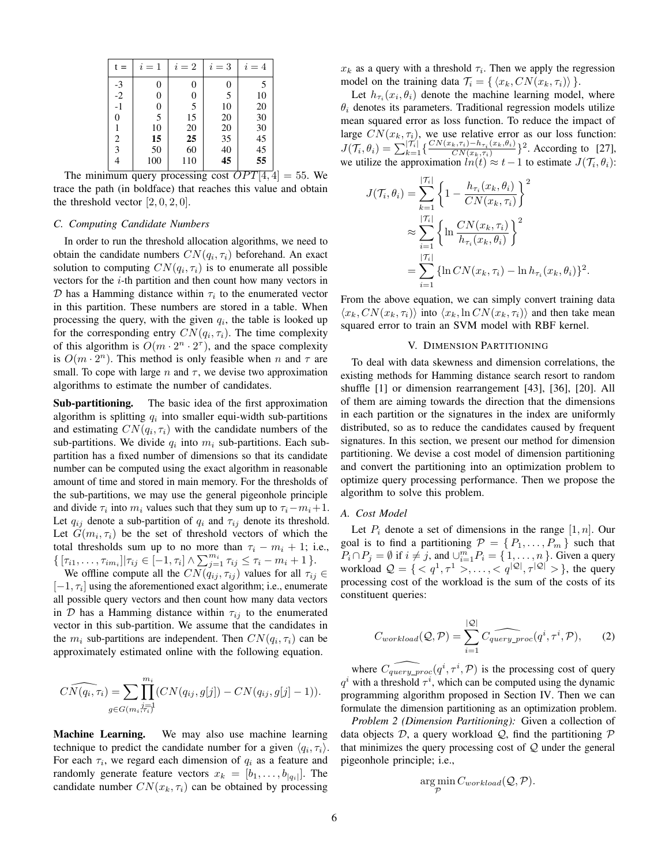| $t =$        | $i=1$            | $i=2$ | $i=3$ | $i=4$ |
|--------------|------------------|-------|-------|-------|
|              | 0                | 0     | 0     | .5    |
| $-3$<br>$-2$ | $\boldsymbol{0}$ | 0     | 5     | 10    |
| $-1$         | $\boldsymbol{0}$ | 5     | 10    | 20    |
| 0            | 5                | 15    | 20    | 30    |
|              | 10               | 20    | 20    | 30    |
| 2            | 15               | 25    | 35    | 45    |
| 3            | 50               | 60    | 40    | 45    |
|              | 100              | 110   | 45    | 55    |

The minimum query processing cost  $OPT[4, 4] = 55$ . We trace the path (in boldface) that reaches this value and obtain the threshold vector  $[2, 0, 2, 0]$ .

#### *C. Computing Candidate Numbers*

In order to run the threshold allocation algorithms, we need to obtain the candidate numbers  $CN(q_i, \tau_i)$  beforehand. An exact solution to computing  $CN(q_i, \tau_i)$  is to enumerate all possible vectors for the *i*-th partition and then count how many vectors in  $D$  has a Hamming distance within  $\tau_i$  to the enumerated vector in this partition. These numbers are stored in a table. When processing the query, with the given  $q_i$ , the table is looked up for the corresponding entry  $CN(q_i, \tau_i)$ . The time complexity of this algorithm is  $O(m \cdot 2^n \cdot 2^{\tau})$ , and the space complexity is  $O(m \cdot 2^n)$ . This method is only feasible when n and  $\tau$  are small. To cope with large n and  $\tau$ , we devise two approximation algorithms to estimate the number of candidates.

Sub-partitioning. The basic idea of the first approximation algorithm is splitting  $q_i$  into smaller equi-width sub-partitions and estimating  $CN(q_i, \tau_i)$  with the candidate numbers of the sub-partitions. We divide  $q_i$  into  $m_i$  sub-partitions. Each subpartition has a fixed number of dimensions so that its candidate number can be computed using the exact algorithm in reasonable amount of time and stored in main memory. For the thresholds of the sub-partitions, we may use the general pigeonhole principle and divide  $\tau_i$  into  $m_i$  values such that they sum up to  $\tau_i - m_i + 1$ . Let  $q_{ij}$  denote a sub-partition of  $q_i$  and  $\tau_{ij}$  denote its threshold. Let  $G(m_i, \tau_i)$  be the set of threshold vectors of which the total thresholds sum up to no more than  $\tau_i - m_i + 1$ ; i.e.,  $\{[\tau_{i1}, \ldots, \tau_{im_i}] | \tau_{ij} \in [-1, \tau_i] \wedge \sum_{j=1}^{m_i} \tau_{ij} \leq \tau_i - m_i + 1 \}.$ 

We offline compute all the  $CN(\alpha_{ij}, \tau_{ij})$  values for all  $\tau_{ij} \in$  $[-1, \tau_i]$  using the aforementioned exact algorithm; i.e., enumerate all possible query vectors and then count how many data vectors in D has a Hamming distance within  $\tau_{ij}$  to the enumerated vector in this sub-partition. We assume that the candidates in the  $m_i$  sub-partitions are independent. Then  $CN(q_i, \tau_i)$  can be approximately estimated online with the following equation.

$$
\widehat{CN(q_i, \tau_i)} = \sum_{g \in G(m_i, i_{\tau_i})} \prod_{j=1}^{m_i} (CN(q_{ij}, g[j]) - CN(q_{ij}, g[j]-1)).
$$

Machine Learning. We may also use machine learning technique to predict the candidate number for a given  $\langle q_i, \tau_i \rangle$ . For each  $\tau_i$ , we regard each dimension of  $q_i$  as a feature and randomly generate feature vectors  $x_k = [b_1, \dots, b_{|q_i|}]$ . The candidate number  $CN(x_k, \tau_i)$  can be obtained by processing

 $x_k$  as a query with a threshold  $\tau_i$ . Then we apply the regression model on the training data  $\mathcal{T}_i = \{ \langle x_k, CN(x_k, \tau_i) \rangle \}.$ 

Let  $h_{\tau_i}(x_i, \theta_i)$  denote the machine learning model, where  $\theta_i$  denotes its parameters. Traditional regression models utilize mean squared error as loss function. To reduce the impact of large  $CN(x_k, \tau_i)$ , we use relative error as our loss function:  $J(\mathcal{T}_i, \theta_i) = \sum_{k=1}^{|\mathcal{T}_i|} \left\{ \frac{CN(x_k, \tau_i) - h_{\tau_i}(x_k, \theta_i)}{CN(x_k, \tau_i)} \right\}$  $\frac{\binom{n}{k},\tau_i- h_{\tau_i}(x_k,\theta_i)}{CN(x_k,\tau_i)}$ <sup>2</sup>. According to [27], we utilize the approximation  $ln(t) \approx t - 1$  to estimate  $J(\mathcal{T}_i, \theta_i)$ :

$$
J(\mathcal{T}_i, \theta_i) = \sum_{k=1}^{|\mathcal{T}_i|} \left\{ 1 - \frac{h_{\tau_i}(x_k, \theta_i)}{CN(x_k, \tau_i)} \right\}^2
$$
  

$$
\approx \sum_{i=1}^{|\mathcal{T}_i|} \left\{ \ln \frac{CN(x_k, \tau_i)}{h_{\tau_i}(x_k, \theta_i)} \right\}^2
$$
  

$$
= \sum_{i=1}^{|\mathcal{T}_i|} \left\{ \ln CN(x_k, \tau_i) - \ln h_{\tau_i}(x_k, \theta_i) \right\}^2.
$$

From the above equation, we can simply convert training data  $\langle x_k, CN(x_k, \tau_i) \rangle$  into  $\langle x_k, \ln CN(x_k, \tau_i) \rangle$  and then take mean squared error to train an SVM model with RBF kernel.

#### V. DIMENSION PARTITIONING

To deal with data skewness and dimension correlations, the existing methods for Hamming distance search resort to random shuffle [1] or dimension rearrangement [43], [36], [20]. All of them are aiming towards the direction that the dimensions in each partition or the signatures in the index are uniformly distributed, so as to reduce the candidates caused by frequent signatures. In this section, we present our method for dimension partitioning. We devise a cost model of dimension partitioning and convert the partitioning into an optimization problem to optimize query processing performance. Then we propose the algorithm to solve this problem.

#### *A. Cost Model*

Let  $P_i$  denote a set of dimensions in the range  $[1, n]$ . Our goal is to find a partitioning  $\mathcal{P} = \{P_1, \ldots, P_m\}$  such that  $P_i \cap P_j = \emptyset$  if  $i \neq j$ , and  $\bigcup_{i=1}^{m} P_i = \{1, \ldots, n\}$ . Given a query workload  $\mathcal{Q} = \{ \langle q^1, \tau^1 \rangle, \ldots, \langle q^{|\mathcal{Q}|}, \tau^{|\mathcal{Q}|} \rangle \}$ , the query processing cost of the workload is the sum of the costs of its constituent queries:

$$
C_{workload}(\mathcal{Q}, \mathcal{P}) = \sum_{i=1}^{|\mathcal{Q}|} C_{query\_proc}(q^i, \tau^i, \mathcal{P}), \qquad (2)
$$

where  $\widehat{C_{query\_proc}(q^i, \tau^i, \mathcal{P})}$  is the processing cost of query  $q<sup>i</sup>$  with a threshold  $\tau<sup>i</sup>$ , which can be computed using the dynamic programming algorithm proposed in Section IV. Then we can formulate the dimension partitioning as an optimization problem.

*Problem 2 (Dimension Partitioning):* Given a collection of data objects D, a query workload  $\mathcal{Q}$ , find the partitioning  $\mathcal P$ that minimizes the query processing cost of  $Q$  under the general pigeonhole principle; i.e.,

$$
\argmin_{\mathcal{P}} C_{workload}(\mathcal{Q}, \mathcal{P}).
$$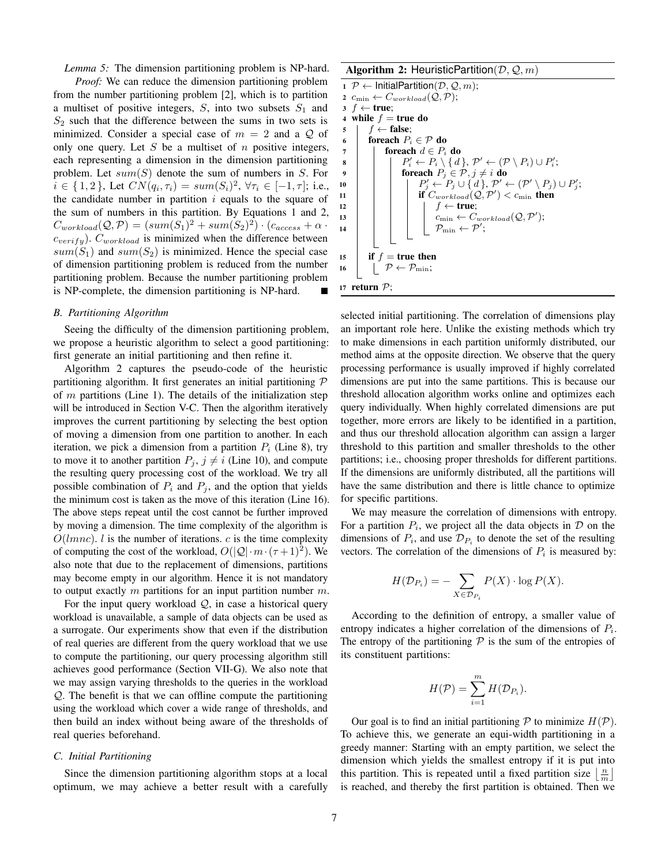*Lemma 5:* The dimension partitioning problem is NP-hard.

*Proof:* We can reduce the dimension partitioning problem from the number partitioning problem [2], which is to partition a multiset of positive integers,  $S$ , into two subsets  $S_1$  and  $S_2$  such that the difference between the sums in two sets is minimized. Consider a special case of  $m = 2$  and a Q of only one query. Let  $S$  be a multiset of  $n$  positive integers, each representing a dimension in the dimension partitioning problem. Let  $sum(S)$  denote the sum of numbers in S. For  $i \in \{1, 2\}$ , Let  $CN(q_i, \tau_i) = sum(S_i)^2$ ,  $\forall \tau_i \in [-1, \tau]$ ; i.e., the candidate number in partition  $i$  equals to the square of the sum of numbers in this partition. By Equations 1 and 2,  $C_{workload}(\mathcal{Q}, \mathcal{P}) = (sum(S_1)^2 + sum(S_2)^2) \cdot (c_{access} + \alpha \cdot$  $c_{verify}$ ).  $C_{workload}$  is minimized when the difference between  $sum(S_1)$  and  $sum(S_2)$  is minimized. Hence the special case of dimension partitioning problem is reduced from the number partitioning problem. Because the number partitioning problem is NP-complete, the dimension partitioning is NP-hard.

#### *B. Partitioning Algorithm*

Seeing the difficulty of the dimension partitioning problem, we propose a heuristic algorithm to select a good partitioning: first generate an initial partitioning and then refine it.

Algorithm 2 captures the pseudo-code of the heuristic partitioning algorithm. It first generates an initial partitioning  $P$ of  $m$  partitions (Line 1). The details of the initialization step will be introduced in Section V-C. Then the algorithm iteratively improves the current partitioning by selecting the best option of moving a dimension from one partition to another. In each iteration, we pick a dimension from a partition  $P_i$  (Line 8), try to move it to another partition  $P_j$ ,  $j \neq i$  (Line 10), and compute the resulting query processing cost of the workload. We try all possible combination of  $P_i$  and  $P_j$ , and the option that yields the minimum cost is taken as the move of this iteration (Line 16). The above steps repeat until the cost cannot be further improved by moving a dimension. The time complexity of the algorithm is  $O(lmnc)$ . *l* is the number of iterations. *c* is the time complexity of computing the cost of the workload,  $O(|Q| \cdot m \cdot (\tau + 1)^2)$ . We also note that due to the replacement of dimensions, partitions may become empty in our algorithm. Hence it is not mandatory to output exactly  $m$  partitions for an input partition number  $m$ .

For the input query workload  $Q$ , in case a historical query workload is unavailable, a sample of data objects can be used as a surrogate. Our experiments show that even if the distribution of real queries are different from the query workload that we use to compute the partitioning, our query processing algorithm still achieves good performance (Section VII-G). We also note that we may assign varying thresholds to the queries in the workload Q. The benefit is that we can offline compute the partitioning using the workload which cover a wide range of thresholds, and then build an index without being aware of the thresholds of real queries beforehand.

#### *C. Initial Partitioning*

Since the dimension partitioning algorithm stops at a local optimum, we may achieve a better result with a carefully

#### Algorithm 2: HeuristicPartition( $D, Q, m$ )



selected initial partitioning. The correlation of dimensions play an important role here. Unlike the existing methods which try to make dimensions in each partition uniformly distributed, our method aims at the opposite direction. We observe that the query processing performance is usually improved if highly correlated dimensions are put into the same partitions. This is because our threshold allocation algorithm works online and optimizes each query individually. When highly correlated dimensions are put together, more errors are likely to be identified in a partition, and thus our threshold allocation algorithm can assign a larger threshold to this partition and smaller thresholds to the other partitions; i.e., choosing proper thresholds for different partitions. If the dimensions are uniformly distributed, all the partitions will have the same distribution and there is little chance to optimize for specific partitions.

We may measure the correlation of dimensions with entropy. For a partition  $P_i$ , we project all the data objects in  $\mathcal D$  on the dimensions of  $P_i$ , and use  $\mathcal{D}_{P_i}$  to denote the set of the resulting vectors. The correlation of the dimensions of  $P_i$  is measured by:

$$
H(\mathcal{D}_{P_i}) = -\sum_{X \in \mathcal{D}_{P_i}} P(X) \cdot \log P(X).
$$

According to the definition of entropy, a smaller value of entropy indicates a higher correlation of the dimensions of  $P_i$ . The entropy of the partitioning  $P$  is the sum of the entropies of its constituent partitions:

$$
H(\mathcal{P}) = \sum_{i=1}^{m} H(\mathcal{D}_{P_i}).
$$

Our goal is to find an initial partitioning  $P$  to minimize  $H(P)$ . To achieve this, we generate an equi-width partitioning in a greedy manner: Starting with an empty partition, we select the dimension which yields the smallest entropy if it is put into this partition. This is repeated until a fixed partition size  $\lfloor \frac{n}{m} \rfloor$ is reached, and thereby the first partition is obtained. Then we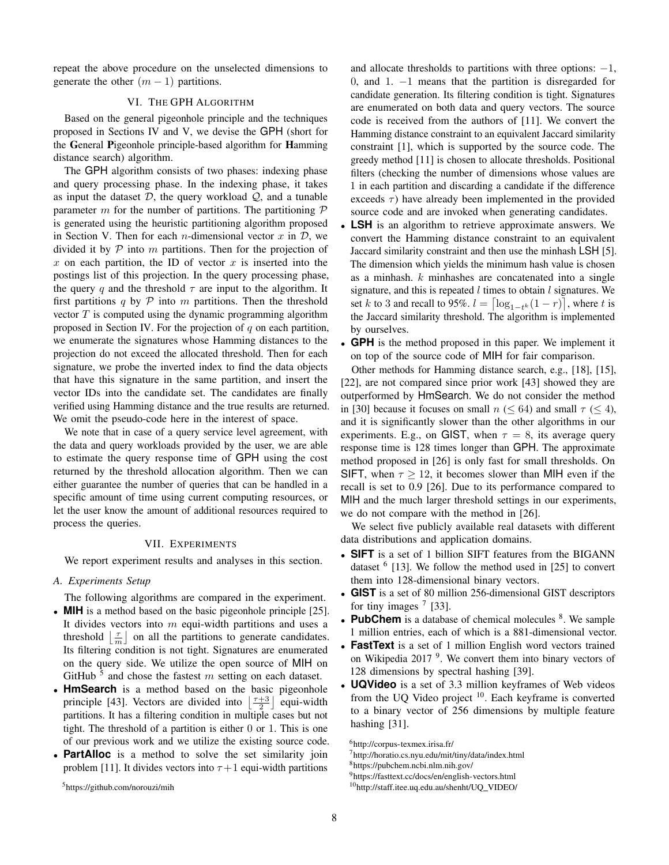repeat the above procedure on the unselected dimensions to generate the other  $(m - 1)$  partitions.

#### VI. THE GPH ALGORITHM

Based on the general pigeonhole principle and the techniques proposed in Sections IV and V, we devise the GPH (short for the General Pigeonhole principle-based algorithm for Hamming distance search) algorithm.

The GPH algorithm consists of two phases: indexing phase and query processing phase. In the indexing phase, it takes as input the dataset  $D$ , the query workload  $Q$ , and a tunable parameter m for the number of partitions. The partitioning  $\mathcal P$ is generated using the heuristic partitioning algorithm proposed in Section V. Then for each *n*-dimensional vector x in  $D$ , we divided it by  $P$  into m partitions. Then for the projection of  $x$  on each partition, the ID of vector  $x$  is inserted into the postings list of this projection. In the query processing phase, the query q and the threshold  $\tau$  are input to the algorithm. It first partitions  $q$  by  $P$  into  $m$  partitions. Then the threshold vector  $T$  is computed using the dynamic programming algorithm proposed in Section IV. For the projection of  $q$  on each partition, we enumerate the signatures whose Hamming distances to the projection do not exceed the allocated threshold. Then for each signature, we probe the inverted index to find the data objects that have this signature in the same partition, and insert the vector IDs into the candidate set. The candidates are finally verified using Hamming distance and the true results are returned. We omit the pseudo-code here in the interest of space.

We note that in case of a query service level agreement, with the data and query workloads provided by the user, we are able to estimate the query response time of GPH using the cost returned by the threshold allocation algorithm. Then we can either guarantee the number of queries that can be handled in a specific amount of time using current computing resources, or let the user know the amount of additional resources required to process the queries.

#### VII. EXPERIMENTS

We report experiment results and analyses in this section.

#### *A. Experiments Setup*

The following algorithms are compared in the experiment.

- **MIH** is a method based on the basic pigeonhole principle [25]. It divides vectors into  $m$  equi-width partitions and uses a threshold  $\lfloor \frac{\tau}{m} \rfloor$  on all the partitions to generate candidates. Its filtering condition is not tight. Signatures are enumerated on the query side. We utilize the open source of MIH on GitHub<sup>5</sup> and chose the fastest m setting on each dataset.
- **HmSearch** is a method based on the basic pigeonhole principle [43]. Vectors are divided into  $\left\lfloor \frac{\tau+3}{2} \right\rfloor$  equi-width partitions. It has a filtering condition in multiple cases but not tight. The threshold of a partition is either 0 or 1. This is one of our previous work and we utilize the existing source code.
- **PartAlloc** is a method to solve the set similarity join problem [11]. It divides vectors into  $\tau+1$  equi-width partitions

and allocate thresholds to partitions with three options:  $-1$ , 0, and 1. −1 means that the partition is disregarded for candidate generation. Its filtering condition is tight. Signatures are enumerated on both data and query vectors. The source code is received from the authors of [11]. We convert the Hamming distance constraint to an equivalent Jaccard similarity constraint [1], which is supported by the source code. The greedy method [11] is chosen to allocate thresholds. Positional filters (checking the number of dimensions whose values are 1 in each partition and discarding a candidate if the difference exceeds  $\tau$ ) have already been implemented in the provided source code and are invoked when generating candidates.

- **LSH** is an algorithm to retrieve approximate answers. We convert the Hamming distance constraint to an equivalent Jaccard similarity constraint and then use the minhash LSH [5]. The dimension which yields the minimum hash value is chosen as a minhash. k minhashes are concatenated into a single signature, and this is repeated  $l$  times to obtain  $l$  signatures. We set k to 3 and recall to 95%.  $l = \left\lceil \log_{1-t^k}(1-r) \right\rceil$ , where t is the Jaccard similarity threshold. The algorithm is implemented by ourselves.
- **GPH** is the method proposed in this paper. We implement it on top of the source code of MIH for fair comparison.

Other methods for Hamming distance search, e.g., [18], [15], [22], are not compared since prior work [43] showed they are outperformed by HmSearch. We do not consider the method in [30] because it focuses on small  $n \leq 64$ ) and small  $\tau \leq 4$ ), and it is significantly slower than the other algorithms in our experiments. E.g., on GIST, when  $\tau = 8$ , its average query response time is 128 times longer than GPH. The approximate method proposed in [26] is only fast for small thresholds. On SIFT, when  $\tau \geq 12$ , it becomes slower than MIH even if the recall is set to 0.9 [26]. Due to its performance compared to MIH and the much larger threshold settings in our experiments, we do not compare with the method in [26].

We select five publicly available real datasets with different data distributions and application domains.

- **SIFT** is a set of 1 billion SIFT features from the BIGANN dataset  $6$  [13]. We follow the method used in [25] to convert them into 128-dimensional binary vectors.
- **GIST** is a set of 80 million 256-dimensional GIST descriptors for tiny images  $<sup>7</sup>$  [33].</sup>
- PubChem is a database of chemical molecules <sup>8</sup>. We sample 1 million entries, each of which is a 881-dimensional vector.
- **FastText** is a set of 1 million English word vectors trained on Wikipedia 2017<sup>9</sup>. We convert them into binary vectors of 128 dimensions by spectral hashing [39].
- **UQVideo** is a set of 3.3 million keyframes of Web videos from the UQ Video project <sup>10</sup>. Each keyframe is converted to a binary vector of 256 dimensions by multiple feature hashing [31].

<sup>8</sup>https://pubchem.ncbi.nlm.nih.gov/

<sup>5</sup>https://github.com/norouzi/mih

<sup>6</sup>http://corpus-texmex.irisa.fr/

<sup>7</sup>http://horatio.cs.nyu.edu/mit/tiny/data/index.html

<sup>9</sup>https://fasttext.cc/docs/en/english-vectors.html

<sup>10</sup>http://staff.itee.uq.edu.au/shenht/UQ VIDEO/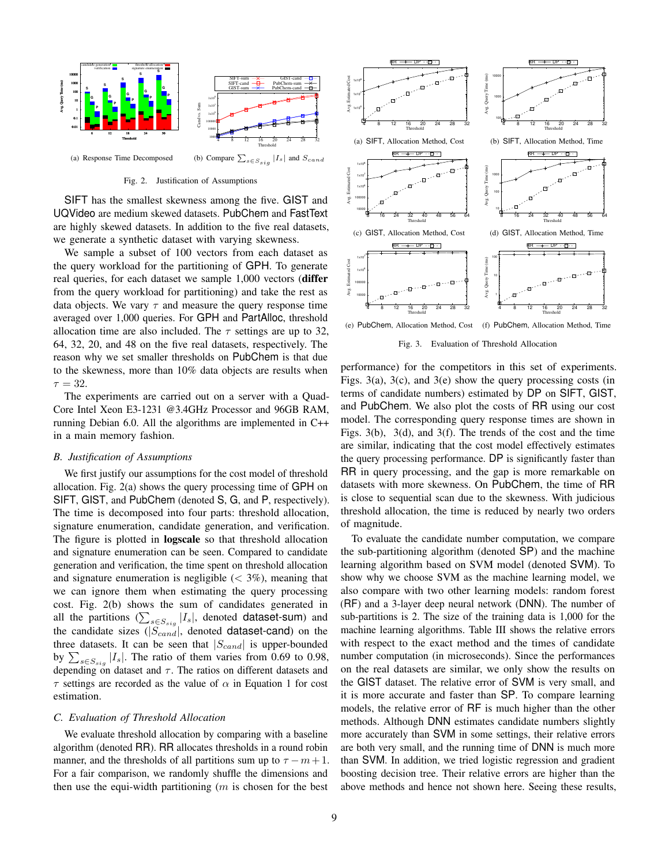

Fig. 2. Justification of Assumptions

SIFT has the smallest skewness among the five. GIST and UQVideo are medium skewed datasets. PubChem and FastText are highly skewed datasets. In addition to the five real datasets, we generate a synthetic dataset with varying skewness.

We sample a subset of 100 vectors from each dataset as the query workload for the partitioning of GPH. To generate real queries, for each dataset we sample 1,000 vectors (differ from the query workload for partitioning) and take the rest as data objects. We vary  $\tau$  and measure the query response time averaged over 1,000 queries. For GPH and PartAlloc, threshold allocation time are also included. The  $\tau$  settings are up to 32, 64, 32, 20, and 48 on the five real datasets, respectively. The reason why we set smaller thresholds on PubChem is that due to the skewness, more than 10% data objects are results when  $\tau = 32.$ 

The experiments are carried out on a server with a Quad-Core Intel Xeon E3-1231 @3.4GHz Processor and 96GB RAM, running Debian 6.0. All the algorithms are implemented in C++ in a main memory fashion.

#### *B. Justification of Assumptions*

We first justify our assumptions for the cost model of threshold allocation. Fig. 2(a) shows the query processing time of GPH on SIFT, GIST, and PubChem (denoted S, G, and P, respectively). The time is decomposed into four parts: threshold allocation, signature enumeration, candidate generation, and verification. The figure is plotted in logscale so that threshold allocation and signature enumeration can be seen. Compared to candidate generation and verification, the time spent on threshold allocation and signature enumeration is negligible  $(< 3\%)$ , meaning that we can ignore them when estimating the query processing cost. Fig. 2(b) shows the sum of candidates generated in all the partitions  $(\sum_{s \in S_{sig}} |I_s|)$ , denoted **dataset-sum**) and the candidate sizes  $(|S_{cand}|,$  denoted dataset-cand) on the three datasets. It can be seen that  $|S_{cand}|$  is upper-bounded by  $\sum_{s \in S_{sig}} |I_s|$ . The ratio of them varies from 0.69 to 0.98, depending on dataset and  $\tau$ . The ratios on different datasets and  $\tau$  settings are recorded as the value of  $\alpha$  in Equation 1 for cost estimation. The then best best and the state of the equi-width particle and the equi-width particle and the particle and the best and the equi-width particle and the best and the particle and the particle and the particle and the par

#### *C. Evaluation of Threshold Allocation*

We evaluate threshold allocation by comparing with a baseline algorithm (denoted RR). RR allocates thresholds in a round robin manner, and the thresholds of all partitions sum up to  $\tau - m + 1$ . For a fair comparison, we randomly shuffle the dimensions and



Fig. 3. Evaluation of Threshold Allocation

performance) for the competitors in this set of experiments. Figs. 3(a), 3(c), and 3(e) show the query processing costs (in terms of candidate numbers) estimated by DP on SIFT, GIST, and PubChem. We also plot the costs of RR using our cost model. The corresponding query response times are shown in Figs. 3(b), 3(d), and 3(f). The trends of the cost and the time are similar, indicating that the cost model effectively estimates the query processing performance. DP is significantly faster than RR in query processing, and the gap is more remarkable on datasets with more skewness. On PubChem, the time of RR is close to sequential scan due to the skewness. With judicious threshold allocation, the time is reduced by nearly two orders of magnitude.

To evaluate the candidate number computation, we compare the sub-partitioning algorithm (denoted SP) and the machine learning algorithm based on SVM model (denoted SVM). To show why we choose SVM as the machine learning model, we also compare with two other learning models: random forest (RF) and a 3-layer deep neural network (DNN). The number of sub-partitions is 2. The size of the training data is 1,000 for the machine learning algorithms. Table III shows the relative errors with respect to the exact method and the times of candidate number computation (in microseconds). Since the performances on the real datasets are similar, we only show the results on the GIST dataset. The relative error of SVM is very small, and it is more accurate and faster than SP. To compare learning models, the relative error of RF is much higher than the other methods. Although DNN estimates candidate numbers slightly more accurately than SVM in some settings, their relative errors are both very small, and the running time of DNN is much more than SVM. In addition, we tried logistic regression and gradient boosting decision tree. Their relative errors are higher than the above methods and hence not shown here. Seeing these results,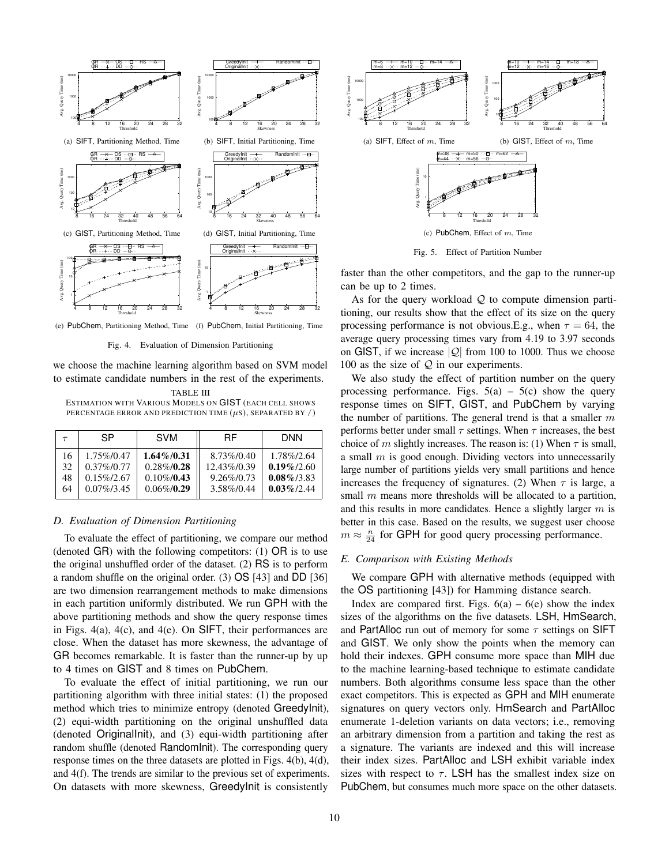

(e) PubChem, Partitioning Method, Time (f) PubChem, Initial Partitioning, Time

Fig. 4. Evaluation of Dimension Partitioning

we choose the machine learning algorithm based on SVM model to estimate candidate numbers in the rest of the experiments.

TABLE III ESTIMATION WITH VARIOUS MODELS ON GIST (EACH CELL SHOWS PERCENTAGE ERROR AND PREDICTION TIME  $(\mu s)$ , SEPARATED BY  $\ell$ )

| $\tau$ | <b>SP</b>     | <b>SVM</b>    | <b>RF</b>     | <b>DNN</b>    |
|--------|---------------|---------------|---------------|---------------|
| 16     | 1.75%/0.47    | $1.64\%/0.31$ | 8.73\%/0.40   | 1.78%/2.64    |
| 32     | $0.37\%/0.77$ | $0.28\%/0.28$ | 12.43\%/0.39  | $0.19\%/2.60$ |
| 48     | $0.15\%/2.67$ | $0.10\%/0.43$ | $9.26\%/0.73$ | $0.08\%/3.83$ |
| 64     | $0.07\%/3.45$ | $0.06\%/0.29$ | 3.58%/0.44    | $0.03\%/2.44$ |

#### *D. Evaluation of Dimension Partitioning*

To evaluate the effect of partitioning, we compare our method (denoted GR) with the following competitors: (1) OR is to use the original unshuffled order of the dataset. (2) RS is to perform a random shuffle on the original order. (3) OS [43] and DD [36] are two dimension rearrangement methods to make dimensions in each partition uniformly distributed. We run GPH with the above partitioning methods and show the query response times in Figs. 4(a), 4(c), and 4(e). On SIFT, their performances are close. When the dataset has more skewness, the advantage of GR becomes remarkable. It is faster than the runner-up by up to 4 times on GIST and 8 times on PubChem.

To evaluate the effect of initial partitioning, we run our partitioning algorithm with three initial states: (1) the proposed method which tries to minimize entropy (denoted GreedyInit), (2) equi-width partitioning on the original unshuffled data (denoted OriginalInit), and (3) equi-width partitioning after random shuffle (denoted RandomInit). The corresponding query response times on the three datasets are plotted in Figs. 4(b), 4(d), and 4(f). The trends are similar to the previous set of experiments. On datasets with more skewness, GreedyInit is consistently



Fig. 5. Effect of Partition Number

faster than the other competitors, and the gap to the runner-up can be up to 2 times.

As for the query workload  $Q$  to compute dimension partitioning, our results show that the effect of its size on the query processing performance is not obvious.E.g., when  $\tau = 64$ , the average query processing times vary from 4.19 to 3.97 seconds on GIST, if we increase  $|Q|$  from 100 to 1000. Thus we choose 100 as the size of  $Q$  in our experiments.

We also study the effect of partition number on the query processing performance. Figs.  $5(a) - 5(c)$  show the query response times on SIFT, GIST, and PubChem by varying the number of partitions. The general trend is that a smaller  $m$ performs better under small  $\tau$  settings. When  $\tau$  increases, the best choice of m slightly increases. The reason is: (1) When  $\tau$  is small, a small  $m$  is good enough. Dividing vectors into unnecessarily large number of partitions yields very small partitions and hence increases the frequency of signatures. (2) When  $\tau$  is large, a small  $m$  means more thresholds will be allocated to a partition, and this results in more candidates. Hence a slightly larger  $m$  is better in this case. Based on the results, we suggest user choose  $m \approx \frac{n}{24}$  for GPH for good query processing performance.

#### *E. Comparison with Existing Methods*

We compare GPH with alternative methods (equipped with the OS partitioning [43]) for Hamming distance search.

Index are compared first. Figs.  $6(a) - 6(e)$  show the index sizes of the algorithms on the five datasets. LSH, HmSearch, and PartAlloc run out of memory for some  $\tau$  settings on SIFT and GIST. We only show the points when the memory can hold their indexes. GPH consume more space than MIH due to the machine learning-based technique to estimate candidate numbers. Both algorithms consume less space than the other exact competitors. This is expected as GPH and MIH enumerate signatures on query vectors only. HmSearch and PartAlloc enumerate 1-deletion variants on data vectors; i.e., removing an arbitrary dimension from a partition and taking the rest as a signature. The variants are indexed and this will increase their index sizes. PartAlloc and LSH exhibit variable index sizes with respect to  $\tau$ . LSH has the smallest index size on PubChem, but consumes much more space on the other datasets.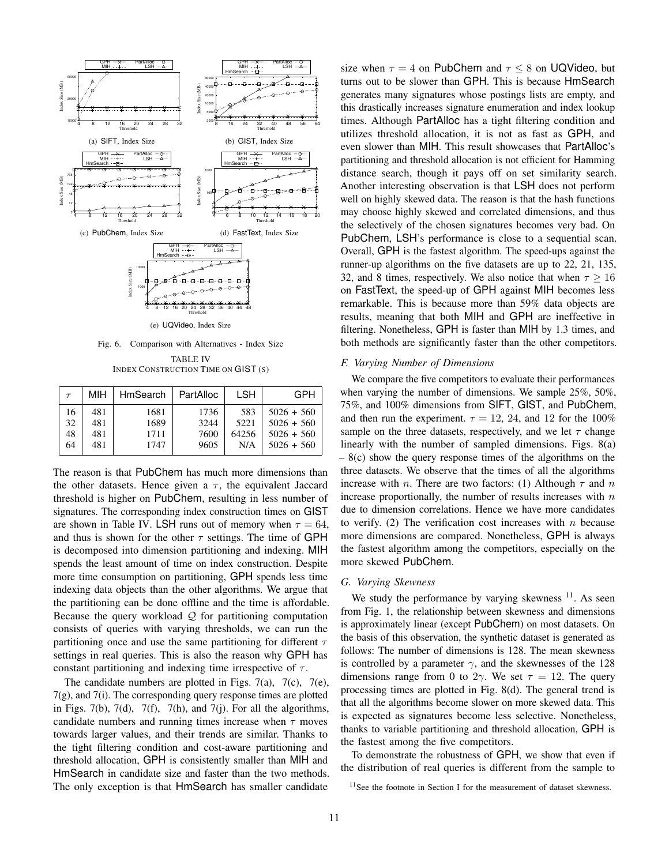

Fig. 6. Comparison with Alternatives - Index Size TABLE IV INDEX CONSTRUCTION TIME ON GIST (S)

| $\tau$ | MIH | HmSearch | PartAlloc | LSH   | <b>GPH</b>   |
|--------|-----|----------|-----------|-------|--------------|
| 16     | 481 | 1681     | 1736      | 583   | $5026 + 560$ |
| 32     | 481 | 1689     | 3244      | 5221  | $5026 + 560$ |
| 48     | 481 | 1711     | 7600      | 64256 | $5026 + 560$ |
| 64     | 481 | 1747     | 9605      | N/A   | $5026 + 560$ |

The reason is that PubChem has much more dimensions than the other datasets. Hence given a  $\tau$ , the equivalent Jaccard threshold is higher on PubChem, resulting in less number of signatures. The corresponding index construction times on GIST are shown in Table IV. LSH runs out of memory when  $\tau = 64$ , and thus is shown for the other  $\tau$  settings. The time of GPH is decomposed into dimension partitioning and indexing. MIH spends the least amount of time on index construction. Despite more time consumption on partitioning, GPH spends less time indexing data objects than the other algorithms. We argue that the partitioning can be done offline and the time is affordable. Because the query workload  $Q$  for partitioning computation consists of queries with varying thresholds, we can run the partitioning once and use the same partitioning for different  $\tau$ settings in real queries. This is also the reason why GPH has constant partitioning and indexing time irrespective of  $\tau$ .

The candidate numbers are plotted in Figs.  $7(a)$ ,  $7(c)$ ,  $7(e)$ , 7(g), and 7(i). The corresponding query response times are plotted in Figs. 7(b), 7(d), 7(f), 7(h), and 7(j). For all the algorithms, candidate numbers and running times increase when  $\tau$  moves towards larger values, and their trends are similar. Thanks to the tight filtering condition and cost-aware partitioning and threshold allocation, GPH is consistently smaller than MIH and HmSearch in candidate size and faster than the two methods. The only exception is that HmSearch has smaller candidate

size when  $\tau = 4$  on PubChem and  $\tau \leq 8$  on UQVideo, but turns out to be slower than GPH. This is because HmSearch generates many signatures whose postings lists are empty, and this drastically increases signature enumeration and index lookup times. Although PartAlloc has a tight filtering condition and utilizes threshold allocation, it is not as fast as GPH, and even slower than MIH. This result showcases that PartAlloc's partitioning and threshold allocation is not efficient for Hamming distance search, though it pays off on set similarity search. Another interesting observation is that LSH does not perform well on highly skewed data. The reason is that the hash functions may choose highly skewed and correlated dimensions, and thus the selectively of the chosen signatures becomes very bad. On PubChem, LSH's performance is close to a sequential scan. Overall, GPH is the fastest algorithm. The speed-ups against the runner-up algorithms on the five datasets are up to 22, 21, 135, 32, and 8 times, respectively. We also notice that when  $\tau > 16$ on FastText, the speed-up of GPH against MIH becomes less remarkable. This is because more than 59% data objects are results, meaning that both MIH and GPH are ineffective in filtering. Nonetheless, GPH is faster than MIH by 1.3 times, and both methods are significantly faster than the other competitors.

#### *F. Varying Number of Dimensions*

We compare the five competitors to evaluate their performances when varying the number of dimensions. We sample 25%, 50%, 75%, and 100% dimensions from SIFT, GIST, and PubChem, and then run the experiment.  $\tau = 12, 24,$  and 12 for the 100% sample on the three datasets, respectively, and we let  $\tau$  change linearly with the number of sampled dimensions. Figs. 8(a)  $-8(c)$  show the query response times of the algorithms on the three datasets. We observe that the times of all the algorithms increase with *n*. There are two factors: (1) Although  $\tau$  and *n* increase proportionally, the number of results increases with  $n$ due to dimension correlations. Hence we have more candidates to verify. (2) The verification cost increases with  $n$  because more dimensions are compared. Nonetheless, GPH is always the fastest algorithm among the competitors, especially on the more skewed PubChem.

#### *G. Varying Skewness*

We study the performance by varying skewness  $11$ . As seen from Fig. 1, the relationship between skewness and dimensions is approximately linear (except PubChem) on most datasets. On the basis of this observation, the synthetic dataset is generated as follows: The number of dimensions is 128. The mean skewness is controlled by a parameter  $\gamma$ , and the skewnesses of the 128 dimensions range from 0 to 2 $\gamma$ . We set  $\tau = 12$ . The query processing times are plotted in Fig. 8(d). The general trend is that all the algorithms become slower on more skewed data. This is expected as signatures become less selective. Nonetheless, thanks to variable partitioning and threshold allocation, GPH is the fastest among the five competitors.

To demonstrate the robustness of GPH, we show that even if the distribution of real queries is different from the sample to

<sup>&</sup>lt;sup>11</sup>See the footnote in Section I for the measurement of dataset skewness.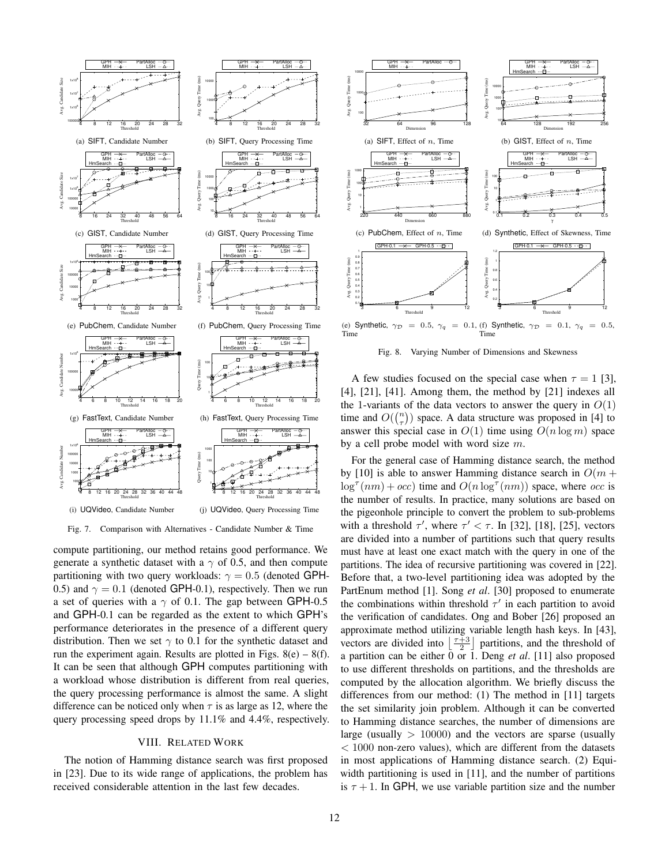

Fig. 7. Comparison with Alternatives - Candidate Number & Time

compute partitioning, our method retains good performance. We generate a synthetic dataset with a  $\gamma$  of 0.5, and then compute partitioning with two query workloads:  $\gamma = 0.5$  (denoted GPH-0.5) and  $\gamma = 0.1$  (denoted GPH-0.1), respectively. Then we run a set of queries with a  $\gamma$  of 0.1. The gap between GPH-0.5 and GPH-0.1 can be regarded as the extent to which GPH's performance deteriorates in the presence of a different query distribution. Then we set  $\gamma$  to 0.1 for the synthetic dataset and run the experiment again. Results are plotted in Figs.  $8(e) - 8(f)$ . It can be seen that although GPH computes partitioning with a workload whose distribution is different from real queries, the query processing performance is almost the same. A slight difference can be noticed only when  $\tau$  is as large as 12, where the query processing speed drops by 11.1% and 4.4%, respectively.

#### VIII. RELATED WORK

The notion of Hamming distance search was first proposed in [23]. Due to its wide range of applications, the problem has received considerable attention in the last few decades.



Fig. 8. Varying Number of Dimensions and Skewness

A few studies focused on the special case when  $\tau = 1$  [3],  $[4]$ ,  $[21]$ ,  $[41]$ . Among them, the method by  $[21]$  indexes all the 1-variants of the data vectors to answer the query in  $O(1)$ time and  $O(\binom{n}{\tau})$  space. A data structure was proposed in [4] to answer this special case in  $O(1)$  time using  $O(n \log m)$  space by a cell probe model with word size m.

For the general case of Hamming distance search, the method by [10] is able to answer Hamming distance search in  $O(m +$  $\log^{\tau}(nm) + occ$ ) time and  $O(n \log^{\tau}(nm))$  space, where occ is the number of results. In practice, many solutions are based on the pigeonhole principle to convert the problem to sub-problems with a threshold  $\tau'$ , where  $\tau' < \tau$ . In [32], [18], [25], vectors are divided into a number of partitions such that query results must have at least one exact match with the query in one of the partitions. The idea of recursive partitioning was covered in [22]. Before that, a two-level partitioning idea was adopted by the PartEnum method [1]. Song *et al*. [30] proposed to enumerate the combinations within threshold  $\tau'$  in each partition to avoid the verification of candidates. Ong and Bober [26] proposed an approximate method utilizing variable length hash keys. In [43], vectors are divided into  $\lfloor \frac{\tau+3}{2} \rfloor$  partitions, and the threshold of a partition can be either  $\overline{0}$  or 1. Deng *et al.* [11] also proposed to use different thresholds on partitions, and the thresholds are computed by the allocation algorithm. We briefly discuss the differences from our method: (1) The method in [11] targets the set similarity join problem. Although it can be converted to Hamming distance searches, the number of dimensions are large (usually  $> 10000$ ) and the vectors are sparse (usually < 1000 non-zero values), which are different from the datasets in most applications of Hamming distance search. (2) Equiwidth partitioning is used in [11], and the number of partitions is  $\tau + 1$ . In GPH, we use variable partition size and the number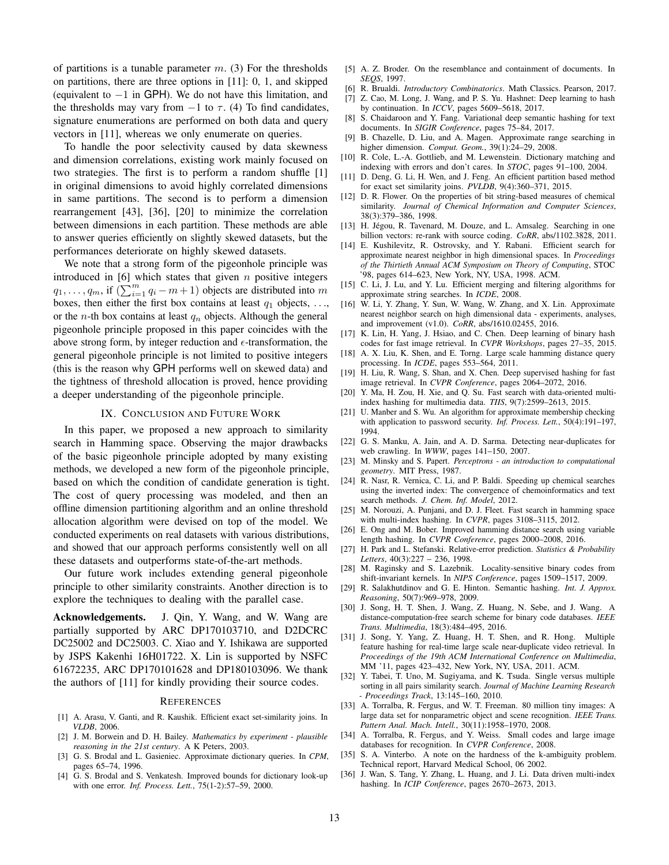of partitions is a tunable parameter  $m$ . (3) For the thresholds on partitions, there are three options in [11]: 0, 1, and skipped (equivalent to  $-1$  in GPH). We do not have this limitation, and the thresholds may vary from  $-1$  to  $\tau$ . (4) To find candidates, signature enumerations are performed on both data and query vectors in [11], whereas we only enumerate on queries.

To handle the poor selectivity caused by data skewness and dimension correlations, existing work mainly focused on two strategies. The first is to perform a random shuffle [1] in original dimensions to avoid highly correlated dimensions in same partitions. The second is to perform a dimension rearrangement [43], [36], [20] to minimize the correlation between dimensions in each partition. These methods are able to answer queries efficiently on slightly skewed datasets, but the performances deteriorate on highly skewed datasets.

We note that a strong form of the pigeonhole principle was introduced in  $[6]$  which states that given n positive integers  $q_1, \ldots, q_m$ , if  $(\sum_{i=1}^m q_i - m + 1)$  objects are distributed into m boxes, then either the first box contains at least  $q_1$  objects, ..., or the *n*-th box contains at least  $q_n$  objects. Although the general pigeonhole principle proposed in this paper coincides with the above strong form, by integer reduction and  $\epsilon$ -transformation, the general pigeonhole principle is not limited to positive integers (this is the reason why GPH performs well on skewed data) and the tightness of threshold allocation is proved, hence providing a deeper understanding of the pigeonhole principle.

#### IX. CONCLUSION AND FUTURE WORK

In this paper, we proposed a new approach to similarity search in Hamming space. Observing the major drawbacks of the basic pigeonhole principle adopted by many existing methods, we developed a new form of the pigeonhole principle, based on which the condition of candidate generation is tight. The cost of query processing was modeled, and then an offline dimension partitioning algorithm and an online threshold allocation algorithm were devised on top of the model. We conducted experiments on real datasets with various distributions, and showed that our approach performs consistently well on all these datasets and outperforms state-of-the-art methods.

Our future work includes extending general pigeonhole principle to other similarity constraints. Another direction is to explore the techniques to dealing with the parallel case.

Acknowledgements. J. Qin, Y. Wang, and W. Wang are partially supported by ARC DP170103710, and D2DCRC DC25002 and DC25003. C. Xiao and Y. Ishikawa are supported by JSPS Kakenhi 16H01722. X. Lin is supported by NSFC 61672235, ARC DP170101628 and DP180103096. We thank the authors of [11] for kindly providing their source codes.

#### **REFERENCES**

- [1] A. Arasu, V. Ganti, and R. Kaushik. Efficient exact set-similarity joins. In *VLDB*, 2006.
- [2] J. M. Borwein and D. H. Bailey. *Mathematics by experiment plausible reasoning in the 21st century*. A K Peters, 2003.
- [3] G. S. Brodal and L. Gasieniec. Approximate dictionary queries. In *CPM*, pages 65–74, 1996.
- [4] G. S. Brodal and S. Venkatesh. Improved bounds for dictionary look-up with one error. *Inf. Process. Lett.*, 75(1-2):57–59, 2000.
- [5] A. Z. Broder. On the resemblance and containment of documents. In *SEQS*, 1997.
- [6] R. Brualdi. *Introductory Combinatorics*. Math Classics. Pearson, 2017.
- [7] Z. Cao, M. Long, J. Wang, and P. S. Yu. Hashnet: Deep learning to hash by continuation. In *ICCV*, pages 5609–5618, 2017.
- [8] S. Chaidaroon and Y. Fang. Variational deep semantic hashing for text documents. In *SIGIR Conference*, pages 75–84, 2017.
- [9] B. Chazelle, D. Liu, and A. Magen. Approximate range searching in higher dimension. *Comput. Geom.*, 39(1):24–29, 2008.
- [10] R. Cole, L.-A. Gottlieb, and M. Lewenstein. Dictionary matching and indexing with errors and don't cares. In *STOC*, pages 91–100, 2004.
- [11] D. Deng, G. Li, H. Wen, and J. Feng. An efficient partition based method for exact set similarity joins. *PVLDB*, 9(4):360–371, 2015.
- [12] D. R. Flower. On the properties of bit string-based measures of chemical similarity. *Journal of Chemical Information and Computer Sciences*, 38(3):379–386, 1998.
- [13] H. Jégou, R. Tavenard, M. Douze, and L. Amsaleg. Searching in one billion vectors: re-rank with source coding. *CoRR*, abs/1102.3828, 2011.
- [14] E. Kushilevitz, R. Ostrovsky, and Y. Rabani. Efficient search for approximate nearest neighbor in high dimensional spaces. In *Proceedings of the Thirtieth Annual ACM Symposium on Theory of Computing*, STOC '98, pages 614–623, New York, NY, USA, 1998. ACM.
- [15] C. Li, J. Lu, and Y. Lu. Efficient merging and filtering algorithms for approximate string searches. In *ICDE*, 2008.
- [16] W. Li, Y. Zhang, Y. Sun, W. Wang, W. Zhang, and X. Lin. Approximate nearest neighbor search on high dimensional data - experiments, analyses, and improvement (v1.0). *CoRR*, abs/1610.02455, 2016.
- [17] K. Lin, H. Yang, J. Hsiao, and C. Chen. Deep learning of binary hash codes for fast image retrieval. In *CVPR Workshops*, pages 27–35, 2015.
- [18] A. X. Liu, K. Shen, and E. Torng. Large scale hamming distance query processing. In *ICDE*, pages 553–564, 2011.
- [19] H. Liu, R. Wang, S. Shan, and X. Chen. Deep supervised hashing for fast image retrieval. In *CVPR Conference*, pages 2064–2072, 2016.
- [20] Y. Ma, H. Zou, H. Xie, and Q. Su. Fast search with data-oriented multiindex hashing for multimedia data. *TIIS*, 9(7):2599–2613, 2015.
- [21] U. Manber and S. Wu. An algorithm for approximate membership checking with application to password security. *Inf. Process. Lett.*, 50(4):191–197, 1994.
- [22] G. S. Manku, A. Jain, and A. D. Sarma. Detecting near-duplicates for web crawling. In *WWW*, pages 141–150, 2007.
- [23] M. Minsky and S. Papert. *Perceptrons an introduction to computational geometry*. MIT Press, 1987.
- [24] R. Nasr, R. Vernica, C. Li, and P. Baldi. Speeding up chemical searches using the inverted index: The convergence of chemoinformatics and text search methods. *J. Chem. Inf. Model*, 2012.
- [25] M. Norouzi, A. Punjani, and D. J. Fleet. Fast search in hamming space with multi-index hashing. In *CVPR*, pages 3108–3115, 2012.
- [26] E. Ong and M. Bober. Improved hamming distance search using variable length hashing. In *CVPR Conference*, pages 2000–2008, 2016.
- [27] H. Park and L. Stefanski. Relative-error prediction. *Statistics & Probability Letters*, 40(3):227 – 236, 1998.
- [28] M. Raginsky and S. Lazebnik. Locality-sensitive binary codes from shift-invariant kernels. In *NIPS Conference*, pages 1509–1517, 2009.
- [29] R. Salakhutdinov and G. E. Hinton. Semantic hashing. *Int. J. Approx. Reasoning*, 50(7):969–978, 2009.
- [30] J. Song, H. T. Shen, J. Wang, Z. Huang, N. Sebe, and J. Wang. A distance-computation-free search scheme for binary code databases. *IEEE Trans. Multimedia*, 18(3):484–495, 2016.
- [31] J. Song, Y. Yang, Z. Huang, H. T. Shen, and R. Hong. Multiple feature hashing for real-time large scale near-duplicate video retrieval. In *Proceedings of the 19th ACM International Conference on Multimedia*, MM '11, pages 423–432, New York, NY, USA, 2011. ACM.
- [32] Y. Tabei, T. Uno, M. Sugiyama, and K. Tsuda. Single versus multiple sorting in all pairs similarity search. *Journal of Machine Learning Research - Proceedings Track*, 13:145–160, 2010.
- [33] A. Torralba, R. Fergus, and W. T. Freeman. 80 million tiny images: A large data set for nonparametric object and scene recognition. *IEEE Trans. Pattern Anal. Mach. Intell.*, 30(11):1958–1970, 2008.
- [34] A. Torralba, R. Fergus, and Y. Weiss. Small codes and large image databases for recognition. In *CVPR Conference*, 2008.
- [35] S. A. Vinterbo. A note on the hardness of the k-ambiguity problem. Technical report, Harvard Medical School, 06 2002.
- [36] J. Wan, S. Tang, Y. Zhang, L. Huang, and J. Li. Data driven multi-index hashing. In *ICIP Conference*, pages 2670–2673, 2013.